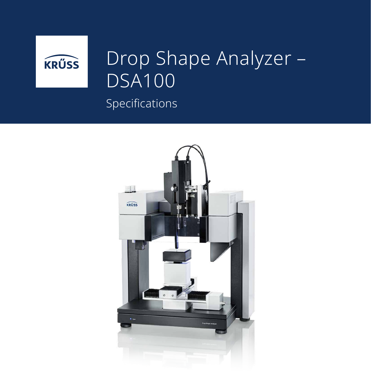

## Drop Shape Analyzer – DSA100

## Specifications

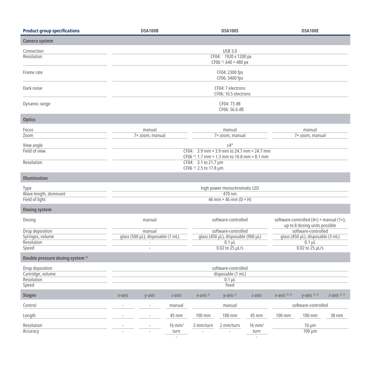| <b>Product group specifications</b>                         |                                                                                                                        | DSA100B                            |                          |                                                            | <b>DSA100S</b>    |                                              |                                                                               | <b>DSA100E</b>               |                  |
|-------------------------------------------------------------|------------------------------------------------------------------------------------------------------------------------|------------------------------------|--------------------------|------------------------------------------------------------|-------------------|----------------------------------------------|-------------------------------------------------------------------------------|------------------------------|------------------|
| Camera system                                               |                                                                                                                        |                                    |                          |                                                            |                   |                                              |                                                                               |                              |                  |
| Connection<br>Resolution                                    | <b>USB 3.0</b><br>CF04: 1920 x 1200 px<br>CF06 <sup>1)</sup> : 640 × 480 px                                            |                                    |                          |                                                            |                   |                                              |                                                                               |                              |                  |
| Frame rate                                                  | CF04: 2300 fps<br>CF06: 3400 fps                                                                                       |                                    |                          |                                                            |                   |                                              |                                                                               |                              |                  |
| Dark noise                                                  | CF04: 7 electrons<br>CF06: 10.5 electrons                                                                              |                                    |                          |                                                            |                   |                                              |                                                                               |                              |                  |
| Dynamic range                                               | CF04: 73 dB<br>CF06: 56.6 dB                                                                                           |                                    |                          |                                                            |                   |                                              |                                                                               |                              |                  |
| <b>Optics</b>                                               |                                                                                                                        |                                    |                          |                                                            |                   |                                              |                                                                               |                              |                  |
| Focus                                                       | manual                                                                                                                 |                                    |                          | manual                                                     |                   |                                              |                                                                               | manual                       |                  |
| Zoom                                                        |                                                                                                                        | 7× zoom, manual<br>7× zoom, manual |                          |                                                            |                   | 7× zoom, manual                              |                                                                               |                              |                  |
| View angle<br>Field of view                                 | $±4^{\circ}$<br>CF04: 3.9 mm × 3.9 mm to 24.7 mm × 24.7 mm<br>CF06 <sup>1)</sup> : 1.7 mm × 1.3 mm to 10.8 mm × 8.1 mm |                                    |                          |                                                            |                   |                                              |                                                                               |                              |                  |
| Resolution                                                  | CF04: 3.1 to 21.7 µm<br>CF06 <sup>1)</sup> : 2.5 to 17.8 µm                                                            |                                    |                          |                                                            |                   |                                              |                                                                               |                              |                  |
| <b>Illumination</b>                                         |                                                                                                                        |                                    |                          |                                                            |                   |                                              |                                                                               |                              |                  |
| Type<br>Wave length, dominant<br>Field of light             | high power monochromatic LED<br>470 nm<br>46 mm $\times$ 46 mm (D $\times$ H)                                          |                                    |                          |                                                            |                   |                                              |                                                                               |                              |                  |
| <b>Dosing system</b>                                        |                                                                                                                        |                                    |                          |                                                            |                   |                                              |                                                                               |                              |                  |
| Dosing                                                      | manual                                                                                                                 |                                    |                          | software-controlled                                        |                   |                                              | software-controlled $(4x)$ + manual $(1x)$ ;<br>up to 8 dosing units possible |                              |                  |
| Drop deposition<br>Syringes, volume                         | manual<br>qlass (500 µL), disposable (1 mL)                                                                            |                                    |                          | software-controlled<br>glass (450 µL), disposable (900 µL) |                   |                                              | software-controlled<br>glass (450 µL), disposable (3 mL)                      |                              |                  |
| Resolution                                                  | $0.1 \mu L$<br>$\sim$                                                                                                  |                                    |                          | $0.1 \mu L$                                                |                   |                                              |                                                                               |                              |                  |
| Speed                                                       | $0.02$ to $25$ $\mu$ L/s<br>$0.02$ to $25$ $\mu$ L/s                                                                   |                                    |                          |                                                            |                   |                                              |                                                                               |                              |                  |
| Double pressure dosing system <sup>1)</sup>                 |                                                                                                                        |                                    |                          |                                                            |                   |                                              |                                                                               |                              |                  |
| Drop deposition<br>Cartridge, volume<br>Resolution<br>Speed | software-controlled<br>disposable (1 mL)<br>$0.1 \mu L$<br>fixed                                                       |                                    |                          |                                                            |                   |                                              |                                                                               |                              |                  |
| <b>Stages</b>                                               | x-axis                                                                                                                 | y-axis                             | z-axis                   | $x$ -axis $^{2}$                                           | $y$ -axis $^{2)}$ | z-axis                                       | $X - AXIS2$ , 3)                                                              | $V$ -axis $^{2}$ ), $^{3}$ ) | $Z - AXIS2$ , 3) |
| Control                                                     |                                                                                                                        |                                    | manual                   |                                                            | manual            |                                              |                                                                               | software-controlled          |                  |
| Length                                                      |                                                                                                                        |                                    | 45 mm                    | 100 mm                                                     | 100 mm            | 45 mm                                        | 100 mm                                                                        | 100 mm                       | 38 mm            |
| Resolution<br>Accuracy                                      |                                                                                                                        |                                    | 16 mm/<br>turn<br>$\sim$ | 2 mm/turn                                                  | 2 mm/turn         | $16$ mm/<br>turn<br>$\overline{\phantom{a}}$ |                                                                               | $10 \mu m$<br>$100 \mu m$    |                  |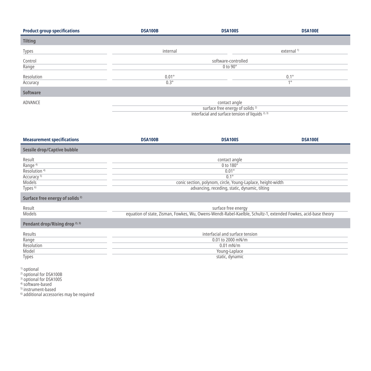| <b>Product group specifications</b> | <b>DSA100B</b>                           | <b>DSA100S</b>                                                                                                               | <b>DSA100E</b>         |  |
|-------------------------------------|------------------------------------------|------------------------------------------------------------------------------------------------------------------------------|------------------------|--|
| <b>Tilting</b>                      |                                          |                                                                                                                              |                        |  |
| Types                               | internal                                 |                                                                                                                              | external <sup>1)</sup> |  |
| Control<br>Range                    | software-controlled<br>$0$ to $90^\circ$ |                                                                                                                              |                        |  |
| Resolution<br>Accuracy              | $0.01^\circ$<br>$0.3^\circ$              |                                                                                                                              | $0.1^\circ$<br>10      |  |
| <b>Software</b>                     |                                          |                                                                                                                              |                        |  |
| ADVANCE                             |                                          | contact angle<br>surface free energy of solids <sup>2)</sup><br>interfacial and surface tension of liquids <sup>2), 3)</sup> |                        |  |

| <b>Measurement specifications</b>                                                                                    | <b>DSA100B</b>                                                                                                                                                              | <b>DSA100S</b>                                                                                          | <b>DSA100E</b> |  |
|----------------------------------------------------------------------------------------------------------------------|-----------------------------------------------------------------------------------------------------------------------------------------------------------------------------|---------------------------------------------------------------------------------------------------------|----------------|--|
| <b>Sessile drop/Captive bubble</b>                                                                                   |                                                                                                                                                                             |                                                                                                         |                |  |
| Result<br>Range <sup>4)</sup><br>Resolution <sup>4)</sup><br>Accuracy <sup>5)</sup><br>Models<br>Types <sup>6)</sup> | contact angle<br>0 to 180°<br>$0.01^{\circ}$<br>$0.1^\circ$<br>conic section, polynom, circle, Young-Laplace, height-width<br>advancing, receding, static, dynamic, tilting |                                                                                                         |                |  |
| Surface free energy of solids <sup>2)</sup>                                                                          |                                                                                                                                                                             |                                                                                                         |                |  |
| Result<br>Models                                                                                                     | surface free energy<br>equation of state, Zisman, Fowkes, Wu, Owens-Wendt-Rabel-Kaelble, Schultz-1, extended Fowkes, acid-base theory                                       |                                                                                                         |                |  |
| Pendant drop/Rising drop <sup>2), 3)</sup>                                                                           |                                                                                                                                                                             |                                                                                                         |                |  |
| Results<br>Range<br>Resolution<br>Model<br>Types                                                                     |                                                                                                                                                                             | interfacial and surface tension<br>0.01 to 2000 mN/m<br>$0.01$ mN/m<br>Young-Laplace<br>static, dynamic |                |  |

<sup>1)</sup> optional<br><sup>2)</sup> optional for DSA100B

3) optional for DSA100S

<sup>4)</sup> software-based<br><sup>5)</sup> instrument-based

 $^{\rm 6)}$  additional accessories may be required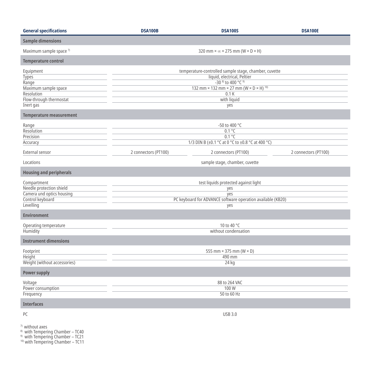| <b>General specifications</b>                                                                             | <b>DSA100B</b>                                                                                                                                                                                         | <b>DSA100S</b>                 | <b>DSA100E</b>       |  |  |  |
|-----------------------------------------------------------------------------------------------------------|--------------------------------------------------------------------------------------------------------------------------------------------------------------------------------------------------------|--------------------------------|----------------------|--|--|--|
| <b>Sample dimensions</b>                                                                                  |                                                                                                                                                                                                        |                                |                      |  |  |  |
| Maximum sample space 7)                                                                                   | 320 mm $\times \infty \times 275$ mm (W $\times$ D $\times$ H)                                                                                                                                         |                                |                      |  |  |  |
| <b>Temperature control</b>                                                                                |                                                                                                                                                                                                        |                                |                      |  |  |  |
| Equipment<br>Types<br>Range<br>Maximum sample space<br>Resolution<br>Flow-through thermostat<br>Inert gas | temperature-controlled sample stage, chamber, cuvette<br>liquid, electrical, Peltier<br>$-30^{8}$ to 400 °C $9$<br>132 mm × 132 mm × 27 mm ( $W \times D \times H$ ) 10)<br>0.1K<br>with liquid<br>yes |                                |                      |  |  |  |
| <b>Temperature measurement</b>                                                                            |                                                                                                                                                                                                        |                                |                      |  |  |  |
| Range<br>Resolution<br>Precision<br>Accuracy                                                              | -50 to 400 °C<br>$0.1^{\circ}$ C<br>$0.1^{\circ}C$<br>1/3 DIN B (±0.1 °C at 0 °C to ±0.8 °C at 400 °C)                                                                                                 |                                |                      |  |  |  |
| External sensor                                                                                           | 2 connectors (PT100)                                                                                                                                                                                   | 2 connectors (PT100)           | 2 connectors (PT100) |  |  |  |
| Locations                                                                                                 |                                                                                                                                                                                                        | sample stage, chamber, cuvette |                      |  |  |  |
| <b>Housing and peripherals</b>                                                                            |                                                                                                                                                                                                        |                                |                      |  |  |  |
| Compartment<br>Needle protection shield<br>Camera und optics housing<br>Control keyboard<br>Levelling     | test liquids protected against light<br>yes<br>yes<br>PC keyboard for ADVANCE software operation available (KB20)<br>yes                                                                               |                                |                      |  |  |  |
| <b>Environment</b>                                                                                        |                                                                                                                                                                                                        |                                |                      |  |  |  |
| Operating temperature<br>Humidity                                                                         | 10 to 40 °C<br>without condensation                                                                                                                                                                    |                                |                      |  |  |  |
| <b>Instrument dimensions</b>                                                                              |                                                                                                                                                                                                        |                                |                      |  |  |  |
| Footprint<br><b>Height</b><br>Weight (without accessories)                                                | 555 mm $\times$ 375 mm (W $\times$ D)<br>490 mm<br>$24$ kg                                                                                                                                             |                                |                      |  |  |  |
| <b>Power supply</b>                                                                                       |                                                                                                                                                                                                        |                                |                      |  |  |  |
| Voltage<br>Power consumption<br>Frequency                                                                 | 88 to 264 VAC<br>100W<br>50 to 60 Hz                                                                                                                                                                   |                                |                      |  |  |  |
| <b>Interfaces</b>                                                                                         |                                                                                                                                                                                                        |                                |                      |  |  |  |
| PC                                                                                                        | <b>USB 3.0</b>                                                                                                                                                                                         |                                |                      |  |  |  |
| <sup>7)</sup> without axes<br>8) with Tomporing Chambor TC40                                              |                                                                                                                                                                                                        |                                |                      |  |  |  |

8) with Tempering Chamber – TC40

9) with Tempering Chamber – TC21

10) with Tempering Chamber – TC11